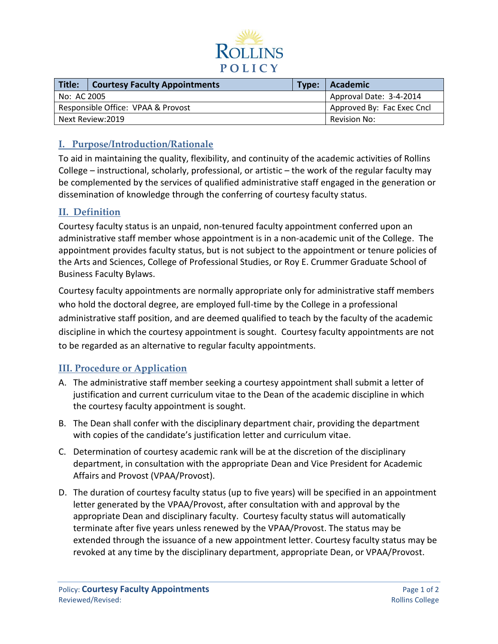

| Title:                             | <b>Courtesy Faculty Appointments</b> |  | Type: Academic             |
|------------------------------------|--------------------------------------|--|----------------------------|
| l No: AC 2005                      |                                      |  | Approval Date: 3-4-2014    |
| Responsible Office: VPAA & Provost |                                      |  | Approved By: Fac Exec Cncl |
| Next Review:2019                   |                                      |  | Revision No:               |

#### **I. Purpose/Introduction/Rationale**

To aid in maintaining the quality, flexibility, and continuity of the academic activities of Rollins College – instructional, scholarly, professional, or artistic – the work of the regular faculty may be complemented by the services of qualified administrative staff engaged in the generation or dissemination of knowledge through the conferring of courtesy faculty status.

### **II. Definition**

Courtesy faculty status is an unpaid, non-tenured faculty appointment conferred upon an administrative staff member whose appointment is in a non-academic unit of the College. The appointment provides faculty status, but is not subject to the appointment or tenure policies of the Arts and Sciences, College of Professional Studies, or Roy E. Crummer Graduate School of Business Faculty Bylaws.

Courtesy faculty appointments are normally appropriate only for administrative staff members who hold the doctoral degree, are employed full-time by the College in a professional administrative staff position, and are deemed qualified to teach by the faculty of the academic discipline in which the courtesy appointment is sought. Courtesy faculty appointments are not to be regarded as an alternative to regular faculty appointments.

#### **III. Procedure or Application**

- A. The administrative staff member seeking a courtesy appointment shall submit a letter of justification and current curriculum vitae to the Dean of the academic discipline in which the courtesy faculty appointment is sought.
- B. The Dean shall confer with the disciplinary department chair, providing the department with copies of the candidate's justification letter and curriculum vitae.
- C. Determination of courtesy academic rank will be at the discretion of the disciplinary department, in consultation with the appropriate Dean and Vice President for Academic Affairs and Provost (VPAA/Provost).
- D. The duration of courtesy faculty status (up to five years) will be specified in an appointment letter generated by the VPAA/Provost, after consultation with and approval by the appropriate Dean and disciplinary faculty. Courtesy faculty status will automatically terminate after five years unless renewed by the VPAA/Provost. The status may be extended through the issuance of a new appointment letter. Courtesy faculty status may be revoked at any time by the disciplinary department, appropriate Dean, or VPAA/Provost.